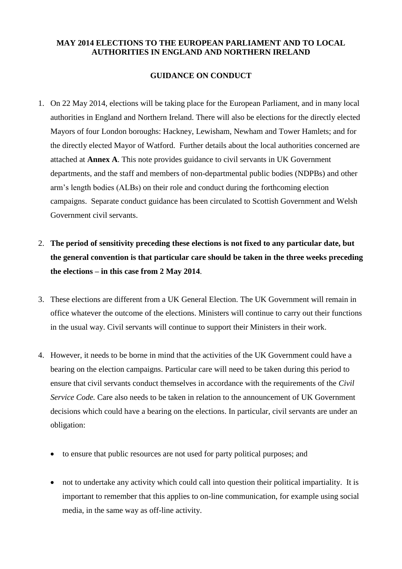# **MAY 2014 ELECTIONS TO THE EUROPEAN PARLIAMENT AND TO LOCAL AUTHORITIES IN ENGLAND AND NORTHERN IRELAND**

#### **GUIDANCE ON CONDUCT**

- 1. On 22 May 2014, elections will be taking place for the European Parliament, and in many local authorities in England and Northern Ireland. There will also be elections for the directly elected Mayors of four London boroughs: Hackney, Lewisham, Newham and Tower Hamlets; and for the directly elected Mayor of Watford. Further details about the local authorities concerned are attached at **Annex A**. This note provides guidance to civil servants in UK Government departments, and the staff and members of non-departmental public bodies (NDPBs) and other arm's length bodies (ALBs) on their role and conduct during the forthcoming election campaigns. Separate conduct guidance has been circulated to Scottish Government and Welsh Government civil servants.
- 2. **The period of sensitivity preceding these elections is not fixed to any particular date, but the general convention is that particular care should be taken in the three weeks preceding the elections – in this case from 2 May 2014**.
- 3. These elections are different from a UK General Election. The UK Government will remain in office whatever the outcome of the elections. Ministers will continue to carry out their functions in the usual way. Civil servants will continue to support their Ministers in their work.
- 4. However, it needs to be borne in mind that the activities of the UK Government could have a bearing on the election campaigns. Particular care will need to be taken during this period to ensure that civil servants conduct themselves in accordance with the requirements of the *Civil Service Code.* Care also needs to be taken in relation to the announcement of UK Government decisions which could have a bearing on the elections. In particular, civil servants are under an obligation:
	- to ensure that public resources are not used for party political purposes; and
	- not to undertake any activity which could call into question their political impartiality. It is important to remember that this applies to on-line communication, for example using social media, in the same way as off-line activity.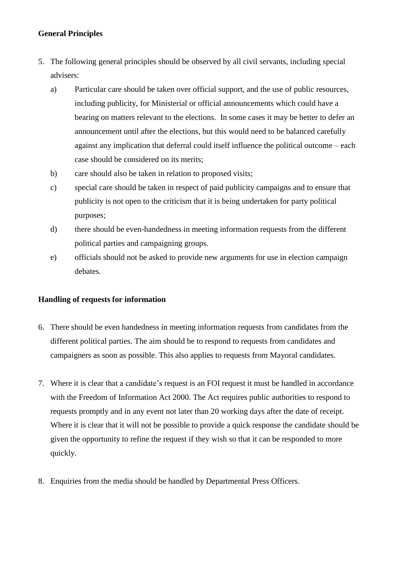# **General Principles**

- 5. The following general principles should be observed by all civil servants, including special advisers:
	- a) Particular care should be taken over official support, and the use of public resources, including publicity, for Ministerial or official announcements which could have a bearing on matters relevant to the elections. In some cases it may be better to defer an announcement until after the elections, but this would need to be balanced carefully against any implication that deferral could itself influence the political outcome – each case should be considered on its merits;
	- b) care should also be taken in relation to proposed visits;
	- c) special care should be taken in respect of paid publicity campaigns and to ensure that publicity is not open to the criticism that it is being undertaken for party political purposes;
	- d) there should be even-handedness in meeting information requests from the different political parties and campaigning groups.
	- e) officials should not be asked to provide new arguments for use in election campaign debates.

#### **Handling of requests for information**

- 6. There should be even handedness in meeting information requests from candidates from the different political parties. The aim should be to respond to requests from candidates and campaigners as soon as possible. This also applies to requests from Mayoral candidates.
- 7. Where it is clear that a candidate's request is an FOI request it must be handled in accordance with the Freedom of Information Act 2000. The Act requires public authorities to respond to requests promptly and in any event not later than 20 working days after the date of receipt. Where it is clear that it will not be possible to provide a quick response the candidate should be given the opportunity to refine the request if they wish so that it can be responded to more quickly.
- 8. Enquiries from the media should be handled by Departmental Press Officers.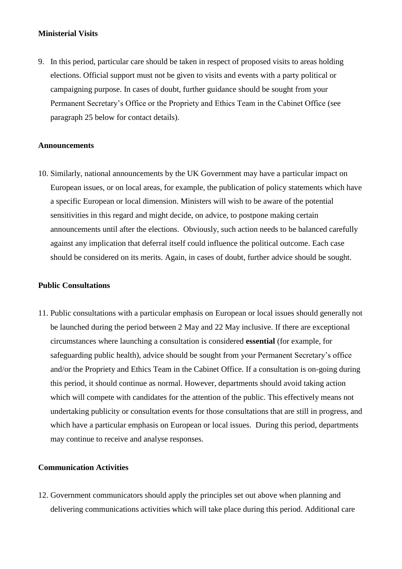#### **Ministerial Visits**

9. In this period, particular care should be taken in respect of proposed visits to areas holding elections. Official support must not be given to visits and events with a party political or campaigning purpose. In cases of doubt, further guidance should be sought from your Permanent Secretary's Office or the Propriety and Ethics Team in the Cabinet Office (see paragraph 25 below for contact details).

#### **Announcements**

10. Similarly, national announcements by the UK Government may have a particular impact on European issues, or on local areas, for example, the publication of policy statements which have a specific European or local dimension. Ministers will wish to be aware of the potential sensitivities in this regard and might decide, on advice, to postpone making certain announcements until after the elections. Obviously, such action needs to be balanced carefully against any implication that deferral itself could influence the political outcome. Each case should be considered on its merits. Again, in cases of doubt, further advice should be sought.

#### **Public Consultations**

11. Public consultations with a particular emphasis on European or local issues should generally not be launched during the period between 2 May and 22 May inclusive. If there are exceptional circumstances where launching a consultation is considered **essential** (for example, for safeguarding public health), advice should be sought from your Permanent Secretary's office and/or the Propriety and Ethics Team in the Cabinet Office. If a consultation is on-going during this period, it should continue as normal. However, departments should avoid taking action which will compete with candidates for the attention of the public. This effectively means not undertaking publicity or consultation events for those consultations that are still in progress, and which have a particular emphasis on European or local issues. During this period, departments may continue to receive and analyse responses.

# **Communication Activities**

12. Government communicators should apply the principles set out above when planning and delivering communications activities which will take place during this period. Additional care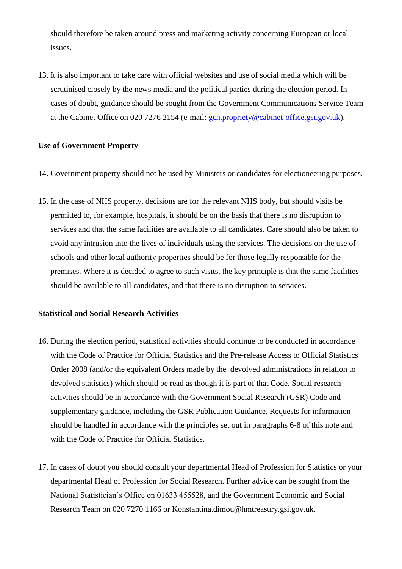should therefore be taken around press and marketing activity concerning European or local issues.

13. It is also important to take care with official websites and use of social media which will be scrutinised closely by the news media and the political parties during the election period. In cases of doubt, guidance should be sought from the Government Communications Service Team at the Cabinet Office on 020 7276 2154 (e-mail: [gcn.propriety@cabinet-office.gsi.gov.uk\)](mailto:gcn.propriety@cabinet-office.gsi.gov.uk).

#### **Use of Government Property**

- 14. Government property should not be used by Ministers or candidates for electioneering purposes.
- 15. In the case of NHS property, decisions are for the relevant NHS body, but should visits be permitted to, for example, hospitals, it should be on the basis that there is no disruption to services and that the same facilities are available to all candidates. Care should also be taken to avoid any intrusion into the lives of individuals using the services. The decisions on the use of schools and other local authority properties should be for those legally responsible for the premises. Where it is decided to agree to such visits, the key principle is that the same facilities should be available to all candidates, and that there is no disruption to services.

#### **Statistical and Social Research Activities**

- 16. During the election period, statistical activities should continue to be conducted in accordance with the Code of Practice for Official Statistics and the Pre-release Access to Official Statistics Order 2008 (and/or the equivalent Orders made by the devolved administrations in relation to devolved statistics) which should be read as though it is part of that Code. Social research activities should be in accordance with the Government Social Research (GSR) Code and supplementary guidance, including the GSR Publication Guidance. Requests for information should be handled in accordance with the principles set out in paragraphs 6-8 of this note and with the Code of Practice for Official Statistics.
- 17. In cases of doubt you should consult your departmental Head of Profession for Statistics or your departmental Head of Profession for Social Research. Further advice can be sought from the National Statistician's Office on 01633 455528, and the Government Economic and Social Research Team on 020 7270 1166 or Konstantina.dimou@hmtreasury.gsi.gov.uk.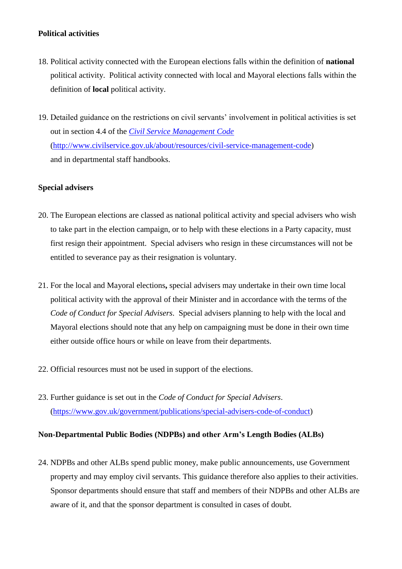# **Political activities**

- 18. Political activity connected with the European elections falls within the definition of **national** political activity. Political activity connected with local and Mayoral elections falls within the definition of **local** political activity.
- 19. Detailed guidance on the restrictions on civil servants' involvement in political activities is set out in section 4.4 of the *[Civil Service Management Code](http://www.civilservice.gov.uk/Assets/civil-service-management-code-2011_tcm6-3222.doc)* [\(http://www.civilservice.gov.uk/about/resources/civil-service-management-code\)](http://www.civilservice.gov.uk/about/resources/civil-service-management-code) and in departmental staff handbooks.

# **Special advisers**

- 20. The European elections are classed as national political activity and special advisers who wish to take part in the election campaign, or to help with these elections in a Party capacity, must first resign their appointment. Special advisers who resign in these circumstances will not be entitled to severance pay as their resignation is voluntary.
- 21. For the local and Mayoral elections**,** special advisers may undertake in their own time local political activity with the approval of their Minister and in accordance with the terms of the *Code of Conduct for Special Advisers*. Special advisers planning to help with the local and Mayoral elections should note that any help on campaigning must be done in their own time either outside office hours or while on leave from their departments.
- 22. Official resources must not be used in support of the elections.
- 23. Further guidance is set out in the *Code [of Conduct for Special Advisers](http://www.cabinetoffice.gov.uk/sites/default/files/resources/special-advisers-code-of-conduct.pdf)*. [\(https://www.gov.uk/government/publications/special-advisers-code-of-conduct\)](https://www.gov.uk/government/publications/special-advisers-code-of-conduct)

## **Non-Departmental Public Bodies (NDPBs) and other Arm's Length Bodies (ALBs)**

24. NDPBs and other ALBs spend public money, make public announcements, use Government property and may employ civil servants. This guidance therefore also applies to their activities. Sponsor departments should ensure that staff and members of their NDPBs and other ALBs are aware of it, and that the sponsor department is consulted in cases of doubt.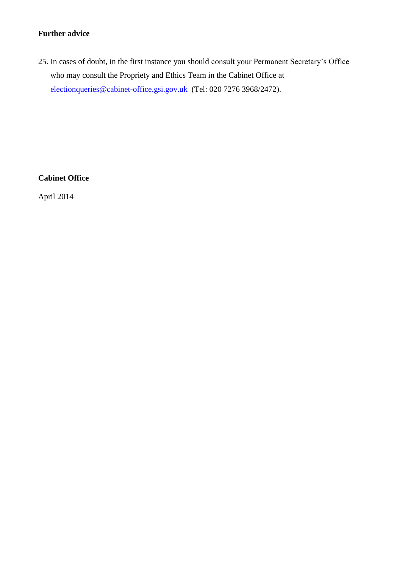# **Further advice**

25. In cases of doubt, in the first instance you should consult your Permanent Secretary's Office who may consult the Propriety and Ethics Team in the Cabinet Office at [electionqueries@cabinet-office.gsi.gov.uk](mailto:electionqueries@cabinet-office.gsi.gov.uk) (Tel: 020 7276 3968/2472).

**Cabinet Office**

April 2014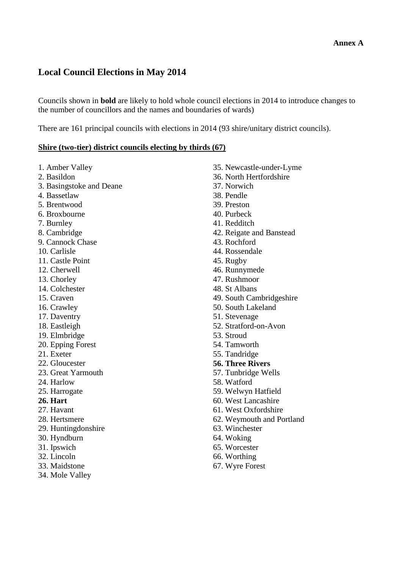# **Local Council Elections in May 2014**

Councils shown in **bold** are likely to hold whole council elections in 2014 to introduce changes to the number of councillors and the names and boundaries of wards)

There are 161 principal councils with elections in 2014 (93 shire/unitary district councils).

# **Shire (two-tier) district councils electing by thirds (67)**

1. Amber Valley 2. Basildon 3. Basingstoke and Deane 4. Bassetlaw 5. Brentwood 6. Broxbourne 7. Burnley 8. Cambridge 9. Cannock Chase 10. Carlisle 11. Castle Point 12. Cherwell 13. Chorley 14. Colchester 15. Craven 16. Crawley 17. Daventry 18. Eastleigh 19. Elmbridge 20. Epping Forest 21. Exeter 22. Gloucester 23. Great Yarmouth 24. Harlow 25. Harrogate **26. Hart**  27. Havant 28. Hertsmere 29. Huntingdonshire 30. Hyndburn 31. Ipswich 32. Lincoln 33. Maidstone

- 35. Newcastle-under-Lyme
- 36. North Hertfordshire
- 37. Norwich
- 38. Pendle
- 39. Preston
- 40. Purbeck
- 41. Redditch
- 42. Reigate and Banstead
- 43. Rochford
- 44. Rossendale
- 45. Rugby
- 46. Runnymede
- 47. Rushmoor
- 48. St Albans
- 49. South Cambridgeshire
- 50. South Lakeland
- 51. Stevenage
- 52. Stratford-on-Avon
- 53. Stroud
- 54. Tamworth
- 55. Tandridge
- **56. Three Rivers**
- 57. Tunbridge Wells
- 58. Watford
- 59. Welwyn Hatfield
- 60. West Lancashire
- 61. West Oxfordshire
- 62. Weymouth and Portland
- 63. Winchester
- 64. Woking
- 65. Worcester
- 66. Worthing
- 67. Wyre Forest

34. Mole Valley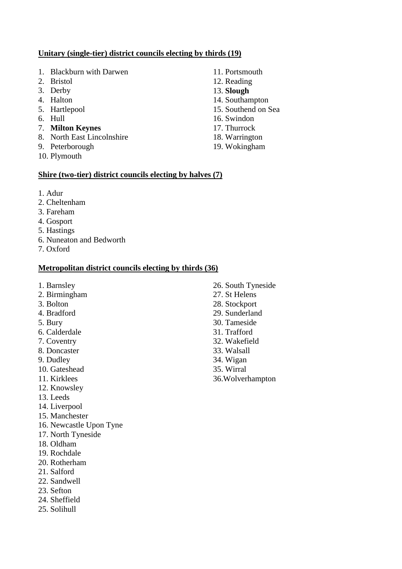# **Unitary (single-tier) district councils electing by thirds (19)**

- 1. Blackburn with Darwen
- 2. Bristol
- 3. Derby
- 4. Halton
- 5. Hartlepool
- 6. Hull
- 7. **Milton Keynes**
- 8. North East Lincolnshire
- 9. Peterborough
- 10. Plymouth
- 11. Portsmouth
- 12. Reading
- 13. **Slough**
- 14. Southampton
- 15. Southend on Sea
- 16. Swindon
- 17. Thurrock
- 18. Warrington
- 19. Wokingham

# **Shire (two-tier) district councils electing by halves (7)**

- 1. Adur
- 2. Cheltenham
- 3. Fareham
- 4. Gosport
- 5. Hastings
- 6. Nuneaton and Bedworth
- 7. Oxford

# **Metropolitan district councils electing by thirds (36)**

- 1. Barnsley
- 2. Birmingham
- 3. Bolton
- 4. Bradford
- 5. Bury
- 6. Calderdale
- 7. Coventry
- 8. Doncaster
- 9. Dudley
- 10. Gateshead
- 11. Kirklees
- 12. Knowsley
- 13. Leeds
- 14. Liverpool
- 15. Manchester
- 16. Newcastle Upon Tyne
- 17. North Tyneside
- 18. Oldham
- 19. Rochdale
- 20. Rotherham
- 21. Salford
- 22. Sandwell
- 23. Sefton
- 24. Sheffield
- 25. Solihull
- 26. South Tyneside 27. St Helens
- 
- 28. Stockport 29. Sunderland
- 30. Tameside
- 31. Trafford
- 32. Wakefield
- 33. Walsall
- 34. Wigan
- 35. Wirral
- 36.Wolverhampton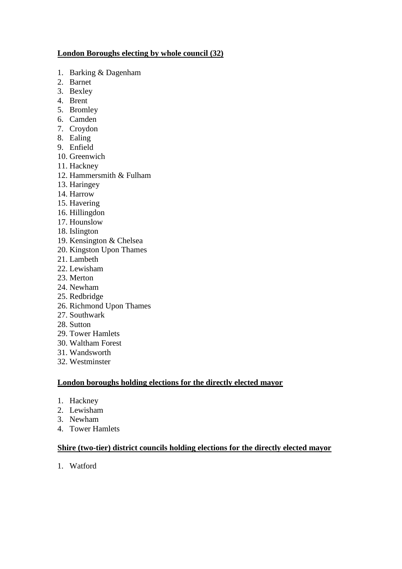# **London Boroughs electing by whole council (32)**

- 1. Barking & Dagenham
- 2. Barnet
- 3. Bexley
- 4. Brent
- 5. Bromley
- 6. Camden
- 7. Croydon
- 8. Ealing
- 9. Enfield
- 10. Greenwich
- 11. Hackney
- 12. Hammersmith & Fulham
- 13. Haringey
- 14. Harrow
- 15. Havering
- 16. Hillingdon
- 17. Hounslow
- 18. Islington
- 19. Kensington & Chelsea
- 20. Kingston Upon Thames
- 21. Lambeth
- 22. Lewisham
- 23. Merton
- 24. Newham
- 25. Redbridge
- 26. Richmond Upon Thames
- 27. Southwark
- 28. Sutton
- 29. Tower Hamlets
- 30. Waltham Forest
- 31. Wandsworth
- 32. Westminster

# **London boroughs holding elections for the directly elected mayor**

- 1. Hackney
- 2. Lewisham
- 3. Newham
- 4. Tower Hamlets

# **Shire (two-tier) district councils holding elections for the directly elected mayor**

1. Watford